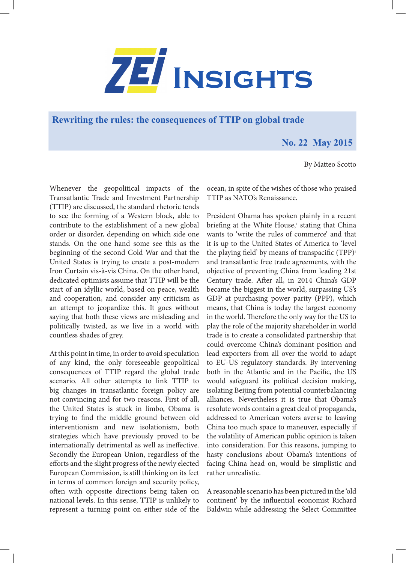

**Rewriting the rules: the consequences of TTIP on global trade** 

## **No. 22 May 2015**

By Matteo Scotto

Whenever the geopolitical impacts of the Transatlantic Trade and Investment Partnership (TTIP) are discussed, the standard rhetoric tends to see the forming of a Western block, able to contribute to the establishment of a new global order or disorder, depending on which side one stands. On the one hand some see this as the beginning of the second Cold War and that the United States is trying to create a post-modern Iron Curtain vis-à-vis China. On the other hand, dedicated optimists assume that TTIP will be the start of an idyllic world, based on peace, wealth and cooperation, and consider any criticism as an attempt to jeopardize this. It goes without saying that both these views are misleading and politically twisted, as we live in a world with countless shades of grey.

At this point in time, in order to avoid speculation of any kind, the only foreseeable geopolitical consequences of TTIP regard the global trade scenario. All other attempts to link TTIP to big changes in transatlantic foreign policy are not convincing and for two reasons. First of all, the United States is stuck in limbo, Obama is trying to find the middle ground between old interventionism and new isolationism, both strategies which have previously proved to be internationally detrimental as well as ineffective. Secondly the European Union, regardless of the efforts and the slight progress of the newly elected European Commission, is still thinking on its feet in terms of common foreign and security policy, often with opposite directions being taken on national levels. In this sense, TTIP is unlikely to represent a turning point on either side of the

ocean, in spite of the wishes of those who praised TTIP as NATO's Renaissance.

President Obama has spoken plainly in a recent briefing at the White House,<sup>1</sup> stating that China wants to 'write the rules of commerce' and that it is up to the United States of America to 'level the playing field' by means of transpacific  $(TPP)^2$ and transatlantic free trade agreements, with the objective of preventing China from leading 21st Century trade. After all, in 2014 China's GDP became the biggest in the world, surpassing US's GDP at purchasing power parity (PPP), which means, that China is today the largest economy in the world. Therefore the only way for the US to play the role of the majority shareholder in world trade is to create a consolidated partnership that could overcome China's dominant position and lead exporters from all over the world to adapt to EU-US regulatory standards. By intervening both in the Atlantic and in the Pacific, the US would safeguard its political decision making, isolating Beijing from potential counterbalancing alliances. Nevertheless it is true that Obama's resolute words contain a great deal of propaganda, addressed to American voters averse to leaving China too much space to maneuver, especially if the volatility of American public opinion is taken into consideration. For this reasons, jumping to hasty conclusions about Obama's intentions of facing China head on, would be simplistic and rather unrealistic.

A reasonable scenario has been pictured in the 'old continent' by the influential economist Richard Baldwin while addressing the Select Committee